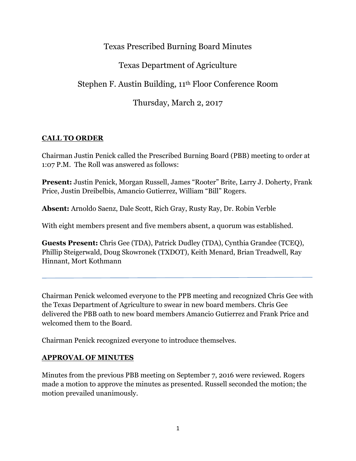## Texas Prescribed Burning Board Minutes

# Texas Department of Agriculture

Stephen F. Austin Building, 11th Floor Conference Room

Thursday, March 2, 2017

### **CALL TO ORDER**

Chairman Justin Penick called the Prescribed Burning Board (PBB) meeting to order at 1:07 P.M. The Roll was answered as follows:

**Present:** Justin Penick, Morgan Russell, James "Rooter" Brite, Larry J. Doherty, Frank Price, Justin Dreibelbis, Amancio Gutierrez, William "Bill" Rogers.

**Absent:** Arnoldo Saenz, Dale Scott, Rich Gray, Rusty Ray, Dr. Robin Verble

With eight members present and five members absent, a quorum was established.

**Guests Present:** Chris Gee (TDA), Patrick Dudley (TDA), Cynthia Grandee (TCEQ), Phillip Steigerwald, Doug Skowronek (TXDOT), Keith Menard, Brian Treadwell, Ray Hinnant, Mort Kothmann

Chairman Penick welcomed everyone to the PPB meeting and recognized Chris Gee with the Texas Department of Agriculture to swear in new board members. Chris Gee delivered the PBB oath to new board members Amancio Gutierrez and Frank Price and welcomed them to the Board.

Chairman Penick recognized everyone to introduce themselves.

### **APPROVAL OF MINUTES**

Minutes from the previous PBB meeting on September 7, 2016 were reviewed. Rogers made a motion to approve the minutes as presented. Russell seconded the motion; the motion prevailed unanimously.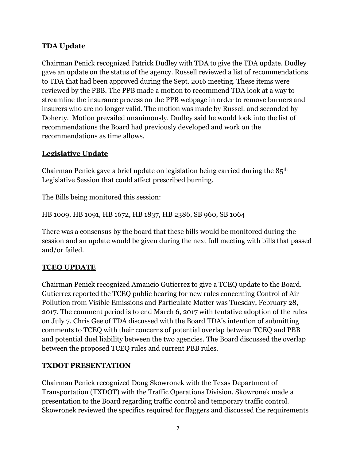### **TDA Update**

Chairman Penick recognized Patrick Dudley with TDA to give the TDA update. Dudley gave an update on the status of the agency. Russell reviewed a list of recommendations to TDA that had been approved during the Sept. 2016 meeting. These items were reviewed by the PBB. The PPB made a motion to recommend TDA look at a way to streamline the insurance process on the PPB webpage in order to remove burners and insurers who are no longer valid. The motion was made by Russell and seconded by Doherty. Motion prevailed unanimously. Dudley said he would look into the list of recommendations the Board had previously developed and work on the recommendations as time allows.

## **Legislative Update**

Chairman Penick gave a brief update on legislation being carried during the 85th Legislative Session that could affect prescribed burning.

The Bills being monitored this session:

HB 1009, HB 1091, HB 1672, HB 1837, HB 2386, SB 960, SB 1064

There was a consensus by the board that these bills would be monitored during the session and an update would be given during the next full meeting with bills that passed and/or failed.

### **TCEQ UPDATE**

Chairman Penick recognized Amancio Gutierrez to give a TCEQ update to the Board. Gutierrez reported the TCEQ public hearing for new rules concerning Control of Air Pollution from Visible Emissions and Particulate Matter was Tuesday, February 28, 2017. The comment period is to end March 6, 2017 with tentative adoption of the rules on July 7. Chris Gee of TDA discussed with the Board TDA's intention of submitting comments to TCEQ with their concerns of potential overlap between TCEQ and PBB and potential duel liability between the two agencies. The Board discussed the overlap between the proposed TCEQ rules and current PBB rules.

### **TXDOT PRESENTATION**

Chairman Penick recognized Doug Skowronek with the Texas Department of Transportation (TXDOT) with the Traffic Operations Division. Skowronek made a presentation to the Board regarding traffic control and temporary traffic control. Skowronek reviewed the specifics required for flaggers and discussed the requirements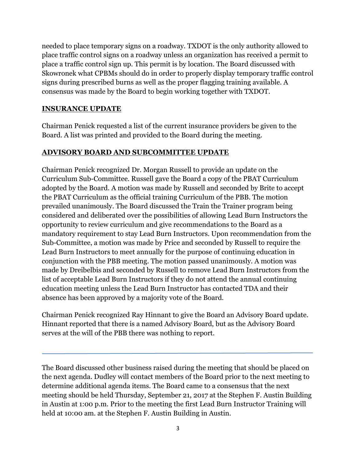needed to place temporary signs on a roadway. TXDOT is the only authority allowed to place traffic control signs on a roadway unless an organization has received a permit to place a traffic control sign up. This permit is by location. The Board discussed with Skowronek what CPBMs should do in order to properly display temporary traffic control signs during prescribed burns as well as the proper flagging training available. A consensus was made by the Board to begin working together with TXDOT.

### **INSURANCE UPDATE**

Chairman Penick requested a list of the current insurance providers be given to the Board. A list was printed and provided to the Board during the meeting.

#### **ADVISORY BOARD AND SUBCOMMITTEE UPDATE**

Chairman Penick recognized Dr. Morgan Russell to provide an update on the Curriculum Sub-Committee. Russell gave the Board a copy of the PBAT Curriculum adopted by the Board. A motion was made by Russell and seconded by Brite to accept the PBAT Curriculum as the official training Curriculum of the PBB. The motion prevailed unanimously. The Board discussed the Train the Trainer program being considered and deliberated over the possibilities of allowing Lead Burn Instructors the opportunity to review curriculum and give recommendations to the Board as a mandatory requirement to stay Lead Burn Instructors. Upon recommendation from the Sub-Committee, a motion was made by Price and seconded by Russell to require the Lead Burn Instructors to meet annually for the purpose of continuing education in conjunction with the PBB meeting. The motion passed unanimously. A motion was made by Dreibelbis and seconded by Russell to remove Lead Burn Instructors from the list of acceptable Lead Burn Instructors if they do not attend the annual continuing education meeting unless the Lead Burn Instructor has contacted TDA and their absence has been approved by a majority vote of the Board.

Chairman Penick recognized Ray Hinnant to give the Board an Advisory Board update. Hinnant reported that there is a named Advisory Board, but as the Advisory Board serves at the will of the PBB there was nothing to report.

The Board discussed other business raised during the meeting that should be placed on the next agenda. Dudley will contact members of the Board prior to the next meeting to determine additional agenda items. The Board came to a consensus that the next meeting should be held Thursday, September 21, 2017 at the Stephen F. Austin Building in Austin at 1:00 p.m. Prior to the meeting the first Lead Burn Instructor Training will held at 10:00 am. at the Stephen F. Austin Building in Austin.